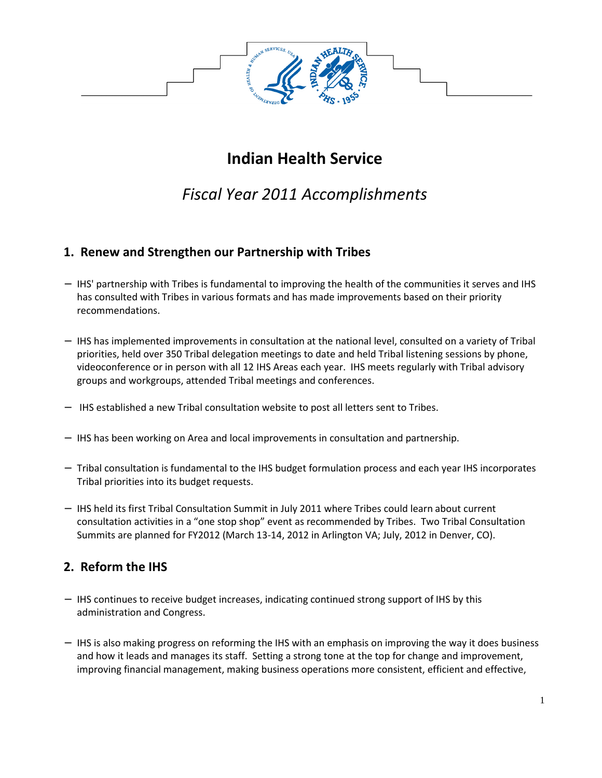

# **Indian Health Service**

## *Fiscal Year 2011 Accomplishments*

#### **1. Renew and Strengthen our Partnership with Tribes**

- − IHS' partnership with Tribes is fundamental to improving the health of the communities it serves and IHS has consulted with Tribes in various formats and has made improvements based on their priority recommendations.
- − IHS has implemented improvements in consultation at the national level, consulted on a variety of Tribal priorities, held over 350 Tribal delegation meetings to date and held Tribal listening sessions by phone, videoconference or in person with all 12 IHS Areas each year. IHS meets regularly with Tribal advisory groups and workgroups, attended Tribal meetings and conferences.
- − IHS established a new Tribal consultation website to post all letters sent to Tribes.
- − IHS has been working on Area and local improvements in consultation and partnership.
- − Tribal consultation is fundamental to the IHS budget formulation process and each year IHS incorporates Tribal priorities into its budget requests.
- − IHS held its first Tribal Consultation Summit in July 2011 where Tribes could learn about current consultation activities in a "one stop shop" event as recommended by Tribes. Two Tribal Consultation Summits are planned for FY2012 (March 13-14, 2012 in Arlington VA; July, 2012 in Denver, CO).

### **2. Reform the IHS**

- − IHS continues to receive budget increases, indicating continued strong support of IHS by this administration and Congress.
- − IHS is also making progress on reforming the IHS with an emphasis on improving the way it does business and how it leads and manages its staff. Setting a strong tone at the top for change and improvement, improving financial management, making business operations more consistent, efficient and effective,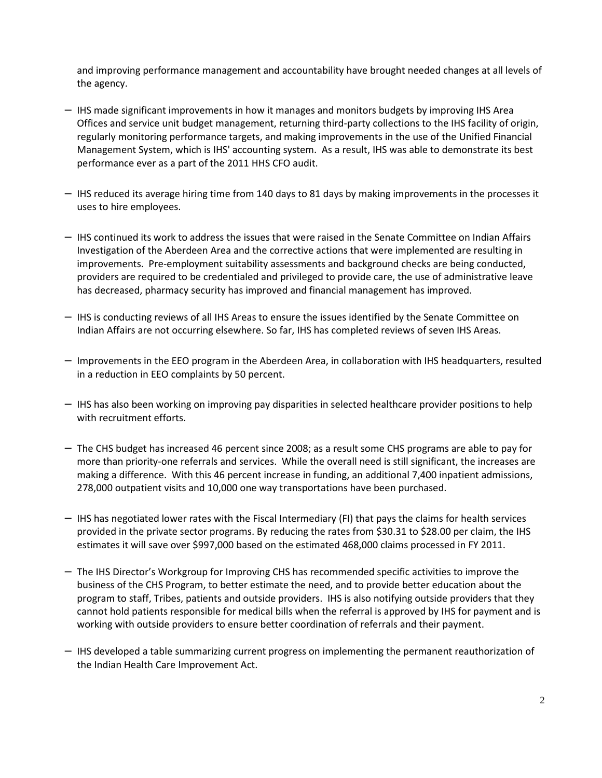and improving performance management and accountability have brought needed changes at all levels of the agency.

- − IHS made significant improvements in how it manages and monitors budgets by improving IHS Area Offices and service unit budget management, returning third-party collections to the IHS facility of origin, regularly monitoring performance targets, and making improvements in the use of the Unified Financial Management System, which is IHS' accounting system. As a result, IHS was able to demonstrate its best performance ever as a part of the 2011 HHS CFO audit.
- − IHS reduced its average hiring time from 140 days to 81 days by making improvements in the processes it uses to hire employees.
- − IHS continued its work to address the issues that were raised in the Senate Committee on Indian Affairs Investigation of the Aberdeen Area and the corrective actions that were implemented are resulting in improvements. Pre-employment suitability assessments and background checks are being conducted, providers are required to be credentialed and privileged to provide care, the use of administrative leave has decreased, pharmacy security has improved and financial management has improved.
- − IHS is conducting reviews of all IHS Areas to ensure the issues identified by the Senate Committee on Indian Affairs are not occurring elsewhere. So far, IHS has completed reviews of seven IHS Areas.
- − Improvements in the EEO program in the Aberdeen Area, in collaboration with IHS headquarters, resulted in a reduction in EEO complaints by 50 percent.
- − IHS has also been working on improving pay disparities in selected healthcare provider positions to help with recruitment efforts.
- − The CHS budget has increased 46 percent since 2008; as a result some CHS programs are able to pay for more than priority-one referrals and services. While the overall need is still significant, the increases are making a difference. With this 46 percent increase in funding, an additional 7,400 inpatient admissions, 278,000 outpatient visits and 10,000 one way transportations have been purchased.
- − IHS has negotiated lower rates with the Fiscal Intermediary (FI) that pays the claims for health services provided in the private sector programs. By reducing the rates from \$30.31 to \$28.00 per claim, the IHS estimates it will save over \$997,000 based on the estimated 468,000 claims processed in FY 2011.
- − The IHS Director's Workgroup for Improving CHS has recommended specific activities to improve the business of the CHS Program, to better estimate the need, and to provide better education about the program to staff, Tribes, patients and outside providers. IHS is also notifying outside providers that they cannot hold patients responsible for medical bills when the referral is approved by IHS for payment and is working with outside providers to ensure better coordination of referrals and their payment.
- − IHS developed a table summarizing current progress on implementing the permanent reauthorization of the Indian Health Care Improvement Act.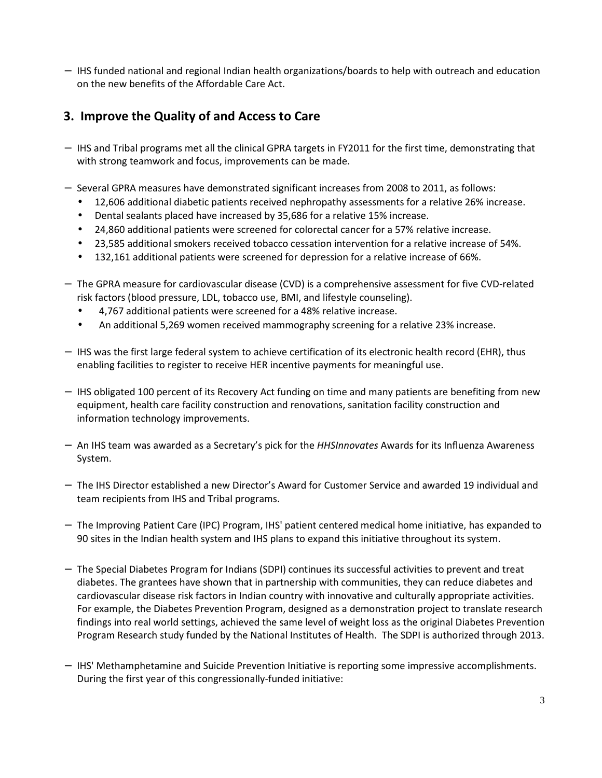− IHS funded national and regional Indian health organizations/boards to help with outreach and education on the new benefits of the Affordable Care Act.

## **3. Improve the Quality of and Access to Care**

- − IHS and Tribal programs met all the clinical GPRA targets in FY2011 for the first time, demonstrating that with strong teamwork and focus, improvements can be made.
- − Several GPRA measures have demonstrated significant increases from 2008 to 2011, as follows:
	- 12,606 additional diabetic patients received nephropathy assessments for a relative 26% increase.
	- Dental sealants placed have increased by 35,686 for a relative 15% increase.
	- 24,860 additional patients were screened for colorectal cancer for a 57% relative increase.
	- 23,585 additional smokers received tobacco cessation intervention for a relative increase of 54%.
	- 132,161 additional patients were screened for depression for a relative increase of 66%.
- − The GPRA measure for cardiovascular disease (CVD) is a comprehensive assessment for five CVD-related risk factors (blood pressure, LDL, tobacco use, BMI, and lifestyle counseling).
	- 4,767 additional patients were screened for a 48% relative increase.
	- An additional 5,269 women received mammography screening for a relative 23% increase.
- − IHS was the first large federal system to achieve certification of its electronic health record (EHR), thus enabling facilities to register to receive HER incentive payments for meaningful use.
- − IHS obligated 100 percent of its Recovery Act funding on time and many patients are benefiting from new equipment, health care facility construction and renovations, sanitation facility construction and information technology improvements.
- − An IHS team was awarded as a Secretary's pick for the *HHSInnovates* Awards for its Influenza Awareness System.
- − The IHS Director established a new Director's Award for Customer Service and awarded 19 individual and team recipients from IHS and Tribal programs.
- − The Improving Patient Care (IPC) Program, IHS' patient centered medical home initiative, has expanded to 90 sites in the Indian health system and IHS plans to expand this initiative throughout its system.
- − The Special Diabetes Program for Indians (SDPI) continues its successful activities to prevent and treat diabetes. The grantees have shown that in partnership with communities, they can reduce diabetes and cardiovascular disease risk factors in Indian country with innovative and culturally appropriate activities. For example, the Diabetes Prevention Program, designed as a demonstration project to translate research findings into real world settings, achieved the same level of weight loss as the original Diabetes Prevention Program Research study funded by the National Institutes of Health. The SDPI is authorized through 2013.
- − IHS' Methamphetamine and Suicide Prevention Initiative is reporting some impressive accomplishments. During the first year of this congressionally-funded initiative: